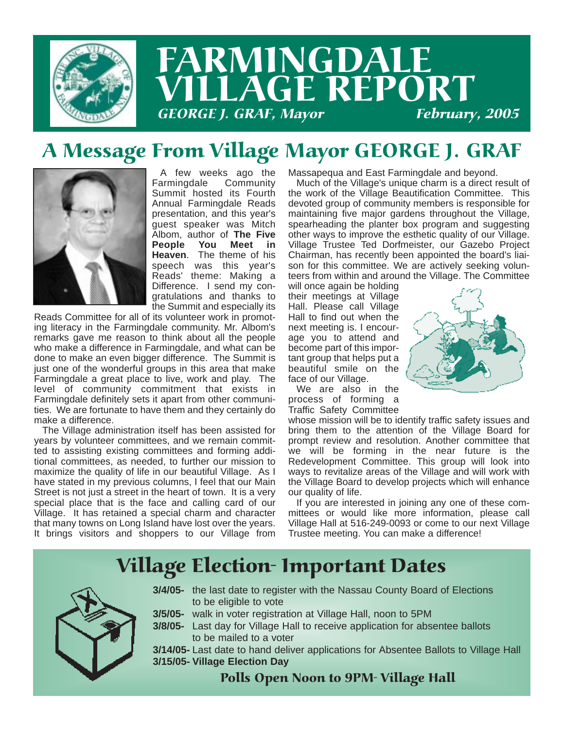

# FARMINGDALE LLAGE REPORT GEORGE J. GRAF, Mayor

## A Message From Village Mayor GEORGE J. GRAF



A few weeks ago the Farmingdale Community Summit hosted its Fourth Annual Farmingdale Reads presentation, and this year's guest speaker was Mitch Albom, author of **The Five People You Meet in Heaven**. The theme of his speech was this year's Reads' theme: Making a Difference. I send my congratulations and thanks to the Summit and especially its

Reads Committee for all of its volunteer work in promoting literacy in the Farmingdale community. Mr. Albom's remarks gave me reason to think about all the people who make a difference in Farmingdale, and what can be done to make an even bigger difference. The Summit is just one of the wonderful groups in this area that make Farmingdale a great place to live, work and play. The level of community commitment that exists in Farmingdale definitely sets it apart from other communities. We are fortunate to have them and they certainly do make a difference.

The Village administration itself has been assisted for years by volunteer committees, and we remain committed to assisting existing committees and forming additional committees, as needed, to further our mission to maximize the quality of life in our beautiful Village. As I have stated in my previous columns, I feel that our Main Street is not just a street in the heart of town. It is a very special place that is the face and calling card of our Village. It has retained a special charm and character that many towns on Long Island have lost over the years. It brings visitors and shoppers to our Village from

Massapequa and East Farmingdale and beyond.

Much of the Village's unique charm is a direct result of the work of the Village Beautification Committee. This devoted group of community members is responsible for maintaining five major gardens throughout the Village, spearheading the planter box program and suggesting other ways to improve the esthetic quality of our Village. Village Trustee Ted Dorfmeister, our Gazebo Project Chairman, has recently been appointed the board's liaison for this committee. We are actively seeking volunteers from within and around the Village. The Committee

will once again be holding their meetings at Village Hall. Please call Village Hall to find out when the next meeting is. I encourage you to attend and become part of this important group that helps put a beautiful smile on the face of our Village.

We are also in the process of forming a Traffic Safety Committee



whose mission will be to identify traffic safety issues and bring them to the attention of the Village Board for prompt review and resolution. Another committee that we will be forming in the near future is the Redevelopment Committee. This group will look into ways to revitalize areas of the Village and will work with the Village Board to develop projects which will enhance our quality of life.

If you are interested in joining any one of these committees or would like more information, please call Village Hall at 516-249-0093 or come to our next Village Trustee meeting. You can make a difference!

## Village Election- Important Dates



- **3/4/05-** the last date to register with the Nassau County Board of Elections to be eligible to vote
- **3/5/05-** walk in voter registration at Village Hall, noon to 5PM
- **3/8/05-** Last day for Village Hall to receive application for absentee ballots to be mailed to a voter

**3/14/05-** Last date to hand deliver applications for Absentee Ballots to Village Hall **3/15/05- Village Election Day** 

Polls Open Noon to 9PM- Village Hall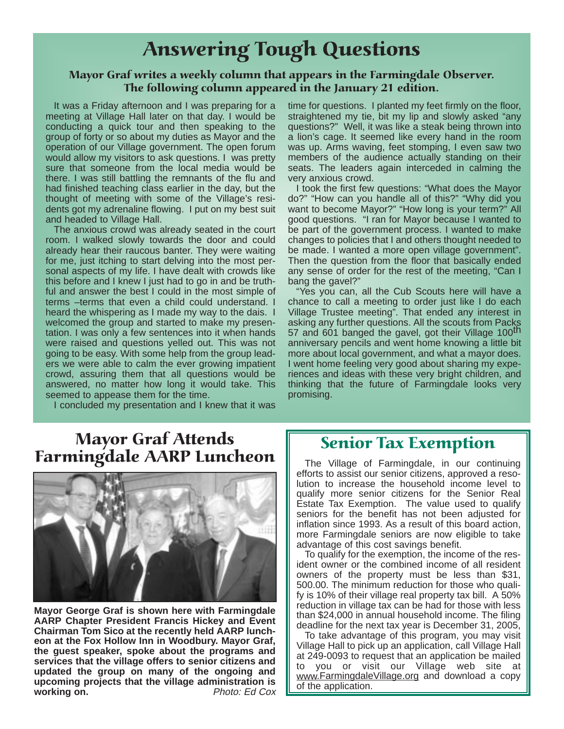## Answering Tough Questions

#### Mayor Graf writes a weekly column that appears in the Farmingdale Observer. The following column appeared in the January 21 edition.

It was a Friday afternoon and I was preparing for a meeting at Village Hall later on that day. I would be conducting a quick tour and then speaking to the group of forty or so about my duties as Mayor and the operation of our Village government. The open forum would allow my visitors to ask questions. I was pretty sure that someone from the local media would be there. I was still battling the remnants of the flu and had finished teaching class earlier in the day, but the thought of meeting with some of the Village's residents got my adrenaline flowing. I put on my best suit and headed to Village Hall.

The anxious crowd was already seated in the court room. I walked slowly towards the door and could already hear their raucous banter. They were waiting for me, just itching to start delving into the most personal aspects of my life. I have dealt with crowds like this before and I knew I just had to go in and be truthful and answer the best I could in the most simple of terms –terms that even a child could understand. I heard the whispering as I made my way to the dais. I welcomed the group and started to make my presentation. I was only a few sentences into it when hands were raised and questions yelled out. This was not going to be easy. With some help from the group leaders we were able to calm the ever growing impatient crowd, assuring them that all questions would be answered, no matter how long it would take. This seemed to appease them for the time.

I concluded my presentation and I knew that it was

### Mayor Graf Attends **Farmingdale AARP Luncheon**  $\parallel$  The Village of Farmingdale, in our continuing



**Mayor George Graf is shown here with Farmingdale AARP Chapter President Francis Hickey and Event Chairman Tom Sico at the recently held AARP luncheon at the Fox Hollow Inn in Woodbury. Mayor Graf, the guest speaker, spoke about the programs and services that the village offers to senior citizens and updated the group on many of the ongoing and upcoming projects that the village administration is working on. Photo: Ed Cox**  time for questions. I planted my feet firmly on the floor, straightened my tie, bit my lip and slowly asked "any questions?" Well, it was like a steak being thrown into a lion's cage. It seemed like every hand in the room was up. Arms waving, feet stomping, I even saw two members of the audience actually standing on their seats. The leaders again interceded in calming the very anxious crowd.

I took the first few questions: "What does the Mayor do?" "How can you handle all of this?" "Why did you want to become Mayor?" "How long is your term?" All good questions. "I ran for Mayor because I wanted to be part of the government process. I wanted to make changes to policies that I and others thought needed to be made. I wanted a more open village government". Then the question from the floor that basically ended any sense of order for the rest of the meeting, "Can I bang the gavel?"

"Yes you can, all the Cub Scouts here will have a chance to call a meeting to order just like I do each Village Trustee meeting". That ended any interest in asking any further questions. All the scouts from Packs 57 and 601 banged the gavel, got their Village 100<sup>th</sup> anniversary pencils and went home knowing a little bit more about local government, and what a mayor does. I went home feeling very good about sharing my experiences and ideas with these very bright children, and thinking that the future of Farmingdale looks very promising.

### Senior Tax Exemption

efforts to assist our senior citizens, approved a resolution to increase the household income level to qualify more senior citizens for the Senior Real Estate Tax Exemption. The value used to qualify seniors for the benefit has not been adjusted for inflation since 1993. As a result of this board action, more Farmingdale seniors are now eligible to take advantage of this cost savings benefit.

To qualify for the exemption, the income of the resident owner or the combined income of all resident owners of the property must be less than \$31, 500.00. The minimum reduction for those who qualify is 10% of their village real property tax bill. A 50% reduction in village tax can be had for those with less than \$24,000 in annual household income. The filing deadline for the next tax year is December 31, 2005,

To take advantage of this program, you may visit Village Hall to pick up an application, call Village Hall at 249-0093 to request that an application be mailed to you or visit our Village web site at www.FarmingdaleVillage.org and download a copy of the application.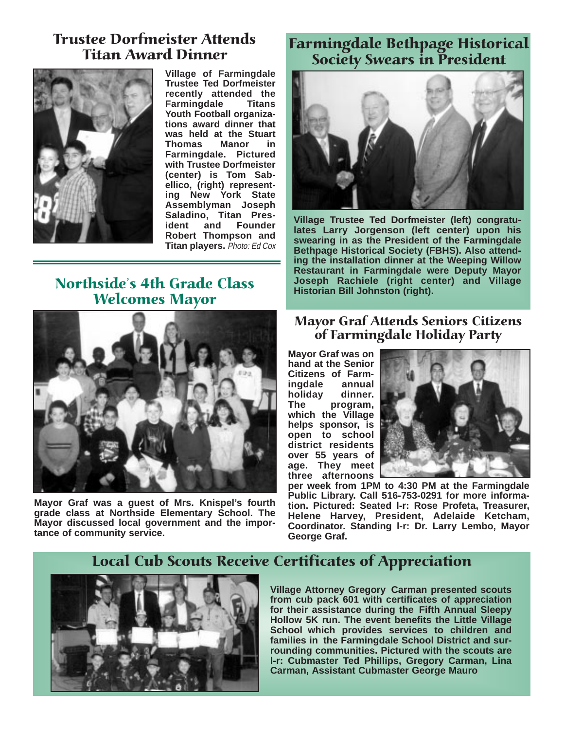#### Trustee Dorfmeister Attends Titan Award Dinner



**Village of Farmingdale Trustee Ted Dorfmeister recently attended the Farmingdale Titans Youth Football organizations award dinner that was held at the Stuart Thomas Manor in Farmingdale. Pictured with Trustee Dorfmeister (center) is Tom Sabellico, (right) representing New York State Assemblyman Joseph Saladino, Titan President and Founder Robert Thompson and Titan players.** Photo: Ed Cox

#### Northside's 4th Grade Class Welcomes Mayor



**Mayor Graf was a guest of Mrs. Knispel's fourth grade class at Northside Elementary School. The Mayor discussed local government and the importance of community service.**

### Farmingdale Bethpage Historical Society Swears in President



**Village Trustee Ted Dorfmeister (left) congratulates Larry Jorgenson (left center) upon his swearing in as the President of the Farmingdale Bethpage Historical Society (FBHS). Also attending the installation dinner at the Weeping Willow Restaurant in Farmingdale were Deputy Mayor Joseph Rachiele (right center) and Village Historian Bill Johnston (right).**

#### Mayor Graf Attends Seniors Citizens of Farmingdale Holiday Party

**Mayor Graf was on hand at the Senior Citizens of Farmingdale annual** holiday **The program, which the Village helps sponsor, is open to school district residents over 55 years of age. They meet three afternoons**



**per week from 1PM to 4:30 PM at the Farmingdale Public Library. Call 516-753-0291 for more information. Pictured: Seated l-r: Rose Profeta, Treasurer, Helene Harvey, President, Adelaide Ketcham, Coordinator. Standing l-r: Dr. Larry Lembo, Mayor George Graf.**

#### Local Cub Scouts Receive Certificates of Appreciation



**Village Attorney Gregory Carman presented scouts from cub pack 601 with certificates of appreciation for their assistance during the Fifth Annual Sleepy Hollow 5K run. The event benefits the Little Village School which provides services to children and families in the Farmingdale School District and surrounding communities. Pictured with the scouts are l-r: Cubmaster Ted Phillips, Gregory Carman, Lina Carman, Assistant Cubmaster George Mauro**